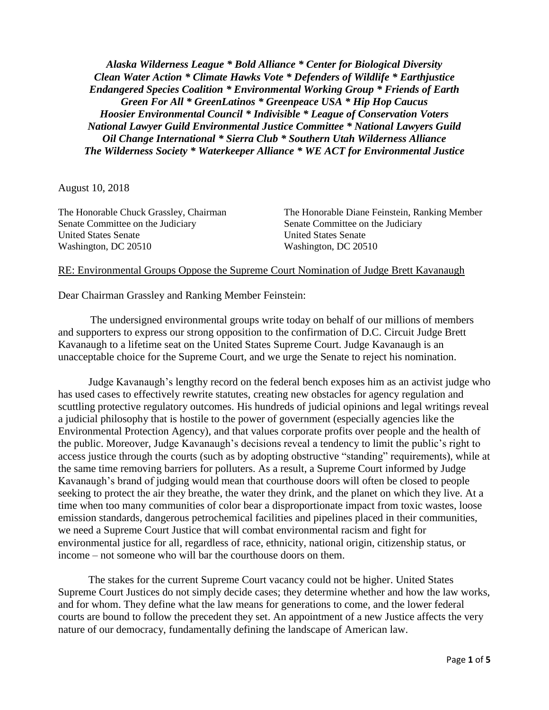*Alaska Wilderness League \* Bold Alliance \* Center for Biological Diversity Clean Water Action \* Climate Hawks Vote \* Defenders of Wildlife \* Earthjustice Endangered Species Coalition \* Environmental Working Group \* Friends of Earth Green For All \* GreenLatinos \* Greenpeace USA \* Hip Hop Caucus Hoosier Environmental Council \* Indivisible \* League of Conservation Voters National Lawyer Guild Environmental Justice Committee \* National Lawyers Guild Oil Change International \* Sierra Club \* Southern Utah Wilderness Alliance The Wilderness Society \* Waterkeeper Alliance \* WE ACT for Environmental Justice*

August 10, 2018

Senate Committee on the Judiciary Senate Committee on the Judiciary United States Senate United States Senate Washington, DC 20510 Washington, DC 20510

The Honorable Chuck Grassley, Chairman The Honorable Diane Feinstein, Ranking Member

#### RE: Environmental Groups Oppose the Supreme Court Nomination of Judge Brett Kavanaugh

Dear Chairman Grassley and Ranking Member Feinstein:

The undersigned environmental groups write today on behalf of our millions of members and supporters to express our strong opposition to the confirmation of D.C. Circuit Judge Brett Kavanaugh to a lifetime seat on the United States Supreme Court. Judge Kavanaugh is an unacceptable choice for the Supreme Court, and we urge the Senate to reject his nomination.

Judge Kavanaugh's lengthy record on the federal bench exposes him as an activist judge who has used cases to effectively rewrite statutes, creating new obstacles for agency regulation and scuttling protective regulatory outcomes. His hundreds of judicial opinions and legal writings reveal a judicial philosophy that is hostile to the power of government (especially agencies like the Environmental Protection Agency), and that values corporate profits over people and the health of the public. Moreover, Judge Kavanaugh's decisions reveal a tendency to limit the public's right to access justice through the courts (such as by adopting obstructive "standing" requirements), while at the same time removing barriers for polluters. As a result, a Supreme Court informed by Judge Kavanaugh's brand of judging would mean that courthouse doors will often be closed to people seeking to protect the air they breathe, the water they drink, and the planet on which they live. At a time when too many communities of color bear a disproportionate impact from toxic wastes, loose emission standards, dangerous petrochemical facilities and pipelines placed in their communities, we need a Supreme Court Justice that will combat environmental racism and fight for environmental justice for all, regardless of race, ethnicity, national origin, citizenship status, or income – not someone who will bar the courthouse doors on them.

The stakes for the current Supreme Court vacancy could not be higher. United States Supreme Court Justices do not simply decide cases; they determine whether and how the law works, and for whom. They define what the law means for generations to come, and the lower federal courts are bound to follow the precedent they set. An appointment of a new Justice affects the very nature of our democracy, fundamentally defining the landscape of American law.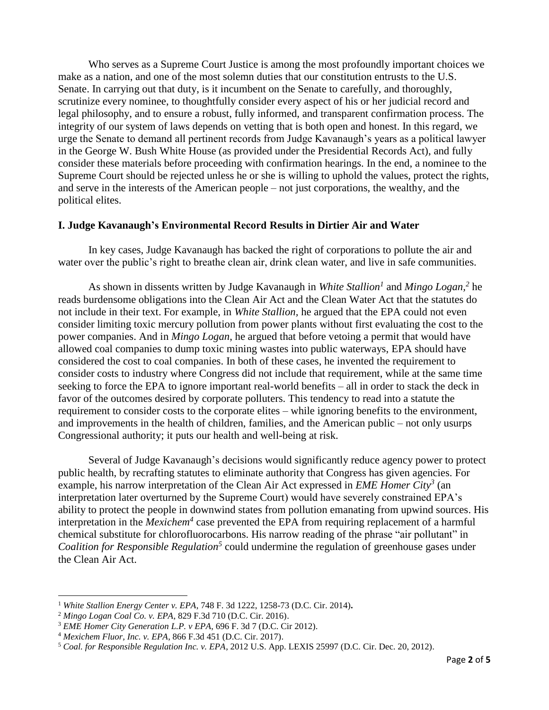Who serves as a Supreme Court Justice is among the most profoundly important choices we make as a nation, and one of the most solemn duties that our constitution entrusts to the U.S. Senate. In carrying out that duty, is it incumbent on the Senate to carefully, and thoroughly, scrutinize every nominee, to thoughtfully consider every aspect of his or her judicial record and legal philosophy, and to ensure a robust, fully informed, and transparent confirmation process. The integrity of our system of laws depends on vetting that is both open and honest. In this regard, we urge the Senate to demand all pertinent records from Judge Kavanaugh's years as a political lawyer in the George W. Bush White House (as provided under the Presidential Records Act), and fully consider these materials before proceeding with confirmation hearings. In the end, a nominee to the Supreme Court should be rejected unless he or she is willing to uphold the values, protect the rights, and serve in the interests of the American people – not just corporations, the wealthy, and the political elites.

#### **I. Judge Kavanaugh's Environmental Record Results in Dirtier Air and Water**

In key cases, Judge Kavanaugh has backed the right of corporations to pollute the air and water over the public's right to breathe clean air, drink clean water, and live in safe communities.

As shown in dissents written by Judge Kavanaugh in *White Stallion<sup>1</sup>* and *Mingo Logan, 2* he reads burdensome obligations into the Clean Air Act and the Clean Water Act that the statutes do not include in their text. For example, in *White Stallion,* he argued that the EPA could not even consider limiting toxic mercury pollution from power plants without first evaluating the cost to the power companies. And in *Mingo Logan*, he argued that before vetoing a permit that would have allowed coal companies to dump toxic mining wastes into public waterways, EPA should have considered the cost to coal companies. In both of these cases, he invented the requirement to consider costs to industry where Congress did not include that requirement, while at the same time seeking to force the EPA to ignore important real-world benefits – all in order to stack the deck in favor of the outcomes desired by corporate polluters. This tendency to read into a statute the requirement to consider costs to the corporate elites – while ignoring benefits to the environment, and improvements in the health of children, families, and the American public – not only usurps Congressional authority; it puts our health and well-being at risk.

Several of Judge Kavanaugh's decisions would significantly reduce agency power to protect public health, by recrafting statutes to eliminate authority that Congress has given agencies. For example, his narrow interpretation of the Clean Air Act expressed in *EME Homer City<sup>3</sup>* (an interpretation later overturned by the Supreme Court) would have severely constrained EPA's ability to protect the people in downwind states from pollution emanating from upwind sources. His interpretation in the *Mexichem<sup>4</sup>* case prevented the EPA from requiring replacement of a harmful chemical substitute for chlorofluorocarbons. His narrow reading of the phrase "air pollutant" in Coalition for Responsible Regulation<sup>5</sup> could undermine the regulation of greenhouse gases under the Clean Air Act.

 $\overline{a}$ 

<sup>1</sup> *White Stallion Energy Center v. EPA*, 748 F. 3d 1222, 1258-73 (D.C. Cir. 2014)**.**

<sup>2</sup> *Mingo Logan Coal Co. v. EPA*, 829 F.3d 710 (D.C. Cir. 2016).

<sup>3</sup> *EME Homer City Generation L.P. v EPA*, 696 F. 3d 7 (D.C. Cir 2012).

<sup>4</sup> *Mexichem Fluor, Inc. v. EPA*, 866 F.3d 451 (D.C. Cir. 2017).

<sup>5</sup> *Coal. for Responsible Regulation Inc. v. EPA*, 2012 U.S. App. LEXIS 25997 (D.C. Cir. Dec. 20, 2012).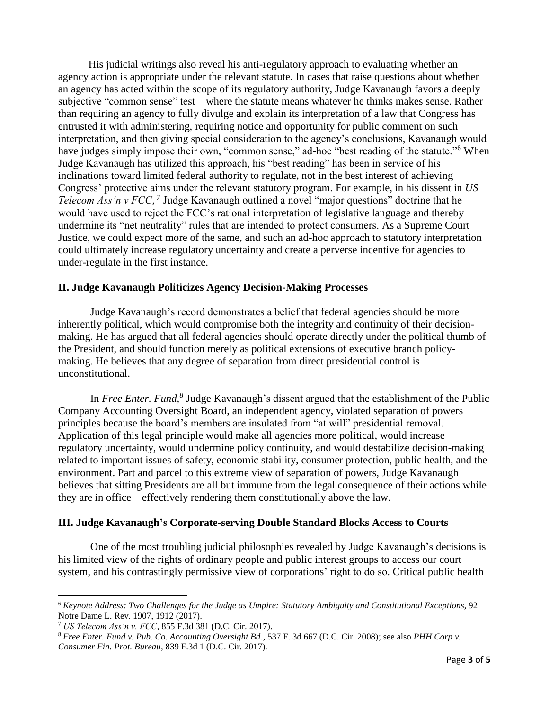His judicial writings also reveal his anti-regulatory approach to evaluating whether an agency action is appropriate under the relevant statute. In cases that raise questions about whether an agency has acted within the scope of its regulatory authority, Judge Kavanaugh favors a deeply subjective "common sense" test – where the statute means whatever he thinks makes sense. Rather than requiring an agency to fully divulge and explain its interpretation of a law that Congress has entrusted it with administering, requiring notice and opportunity for public comment on such interpretation, and then giving special consideration to the agency's conclusions, Kavanaugh would have judges simply impose their own, "common sense," ad-hoc "best reading of the statute."<sup>6</sup> When Judge Kavanaugh has utilized this approach, his "best reading" has been in service of his inclinations toward limited federal authority to regulate, not in the best interest of achieving Congress' protective aims under the relevant statutory program. For example, in his dissent in *US Telecom Ass'n v FCC*,<sup>7</sup> Judge Kavanaugh outlined a novel "major questions" doctrine that he would have used to reject the FCC's rational interpretation of legislative language and thereby undermine its "net neutrality" rules that are intended to protect consumers. As a Supreme Court Justice, we could expect more of the same, and such an ad-hoc approach to statutory interpretation could ultimately increase regulatory uncertainty and create a perverse incentive for agencies to under-regulate in the first instance.

## **II. Judge Kavanaugh Politicizes Agency Decision-Making Processes**

Judge Kavanaugh's record demonstrates a belief that federal agencies should be more inherently political, which would compromise both the integrity and continuity of their decisionmaking. He has argued that all federal agencies should operate directly under the political thumb of the President, and should function merely as political extensions of executive branch policymaking. He believes that any degree of separation from direct presidential control is unconstitutional.

In *Free Enter. Fund*,<sup>8</sup> Judge Kavanaugh's dissent argued that the establishment of the Public Company Accounting Oversight Board, an independent agency, violated separation of powers principles because the board's members are insulated from "at will" presidential removal. Application of this legal principle would make all agencies more political, would increase regulatory uncertainty, would undermine policy continuity, and would destabilize decision-making related to important issues of safety, economic stability, consumer protection, public health, and the environment. Part and parcel to this extreme view of separation of powers, Judge Kavanaugh believes that sitting Presidents are all but immune from the legal consequence of their actions while they are in office – effectively rendering them constitutionally above the law.

# **III. Judge Kavanaugh's Corporate-serving Double Standard Blocks Access to Courts**

One of the most troubling judicial philosophies revealed by Judge Kavanaugh's decisions is his limited view of the rights of ordinary people and public interest groups to access our court system, and his contrastingly permissive view of corporations' right to do so. Critical public health

 $\overline{a}$ 

<sup>6</sup> *Keynote Address: Two Challenges for the Judge as Umpire: Statutory Ambiguity and Constitutional Exceptions*, 92 Notre Dame L. Rev. 1907, 1912 (2017).

<sup>7</sup> *US Telecom Ass'n v. FCC*, 855 F.3d 381 (D.C. Cir. 2017).

<sup>8</sup> *Free Enter. Fund v. Pub. Co. Accounting Oversight Bd*., 537 F. 3d 667 (D.C. Cir. 2008); see also *PHH Corp v. Consumer Fin. Prot. Bureau,* 839 F.3d 1 (D.C. Cir. 2017).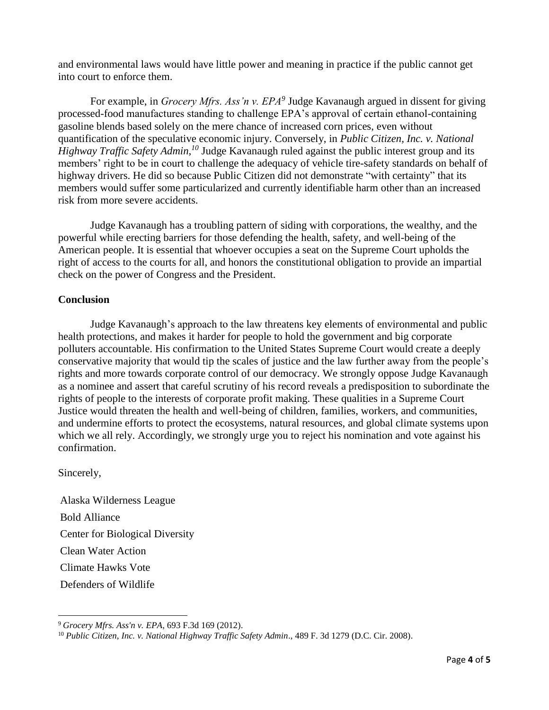and environmental laws would have little power and meaning in practice if the public cannot get into court to enforce them.

For example, in *Grocery Mfrs. Ass'n v. EPA<sup>9</sup>* Judge Kavanaugh argued in dissent for giving processed-food manufactures standing to challenge EPA's approval of certain ethanol-containing gasoline blends based solely on the mere chance of increased corn prices, even without quantification of the speculative economic injury. Conversely, in *Public Citizen, Inc. v. National Highway Traffic Safety Admin, <sup>10</sup>* Judge Kavanaugh ruled against the public interest group and its members' right to be in court to challenge the adequacy of vehicle tire-safety standards on behalf of highway drivers. He did so because Public Citizen did not demonstrate "with certainty" that its members would suffer some particularized and currently identifiable harm other than an increased risk from more severe accidents.

Judge Kavanaugh has a troubling pattern of siding with corporations, the wealthy, and the powerful while erecting barriers for those defending the health, safety, and well-being of the American people. It is essential that whoever occupies a seat on the Supreme Court upholds the right of access to the courts for all, and honors the constitutional obligation to provide an impartial check on the power of Congress and the President.

## **Conclusion**

Judge Kavanaugh's approach to the law threatens key elements of environmental and public health protections, and makes it harder for people to hold the government and big corporate polluters accountable. His confirmation to the United States Supreme Court would create a deeply conservative majority that would tip the scales of justice and the law further away from the people's rights and more towards corporate control of our democracy. We strongly oppose Judge Kavanaugh as a nominee and assert that careful scrutiny of his record reveals a predisposition to subordinate the rights of people to the interests of corporate profit making. These qualities in a Supreme Court Justice would threaten the health and well-being of children, families, workers, and communities, and undermine efforts to protect the ecosystems, natural resources, and global climate systems upon which we all rely. Accordingly, we strongly urge you to reject his nomination and vote against his confirmation.

Sincerely,

Alaska Wilderness League Bold Alliance Center for Biological Diversity Clean Water Action Climate Hawks Vote Defenders of Wildlife

 $\overline{a}$ <sup>9</sup> *Grocery Mfrs. Ass'n v. EPA*, 693 F.3d 169 (2012).

<sup>10</sup> *Public Citizen, Inc. v. National Highway Traffic Safety Admin*., 489 F. 3d 1279 (D.C. Cir. 2008).